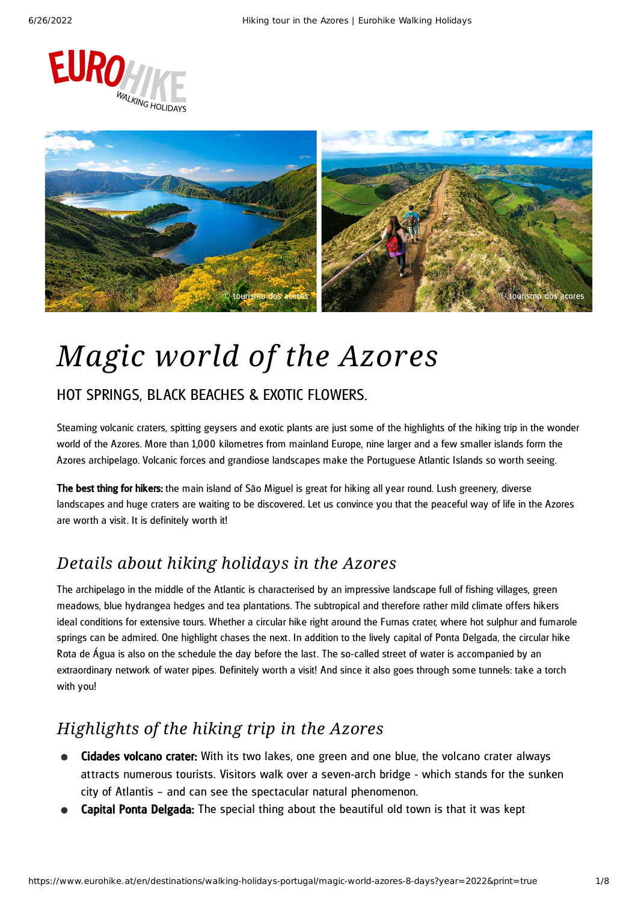



# *Magic world of the Azores*

### HOT SPRINGS, BLACK BEACHES & EXOTIC FLOWERS.

Steaming volcanic craters, spitting geysers and exotic plants are just some of the highlights of the hiking trip in the wonder world of the Azores. More than 1,000 kilometres from mainland Europe, nine larger and a few smaller islands form the Azores archipelago. Volcanic forces and grandiose landscapes make the Portuguese Atlantic Islands so worth seeing.

The best thing for hikers: the main island of São Miguel is great for hiking all year round. Lush greenery, diverse landscapes and huge craters are waiting to be discovered. Let us convince you that the peaceful way of life in the Azores are worth a visit. It is definitely worth it!

### *Details about hiking holidays in the Azores*

The archipelago in the middle of the Atlantic is characterised by an impressive landscape full of fishing villages, green meadows, blue hydrangea hedges and tea plantations. The subtropical and therefore rather mild climate offers hikers ideal conditions for extensive tours. Whether a circular hike right around the Furnas crater, where hot sulphur and fumarole springs can be admired. One highlight chases the next. In addition to the lively capital of Ponta Delgada, the circular hike Rota de Água is also on the schedule the day before the last. The so-called street of water is accompanied by an extraordinary network of water pipes. Definitely worth a visit! And since it also goes through some tunnels: take a torch with you!

### *Highlights of the hiking trip in the Azores*

- **Cidades volcano crater:** With its two lakes, one green and one blue, the volcano crater always at tracts numerous tourists. Visitors walk over a seven-arch bridge - which stands for the sunken city of Atlantis – and can see the spectacular natural phenomenon.
- Capital Ponta Delgada: The special thing about the beautiful old town is that it was kept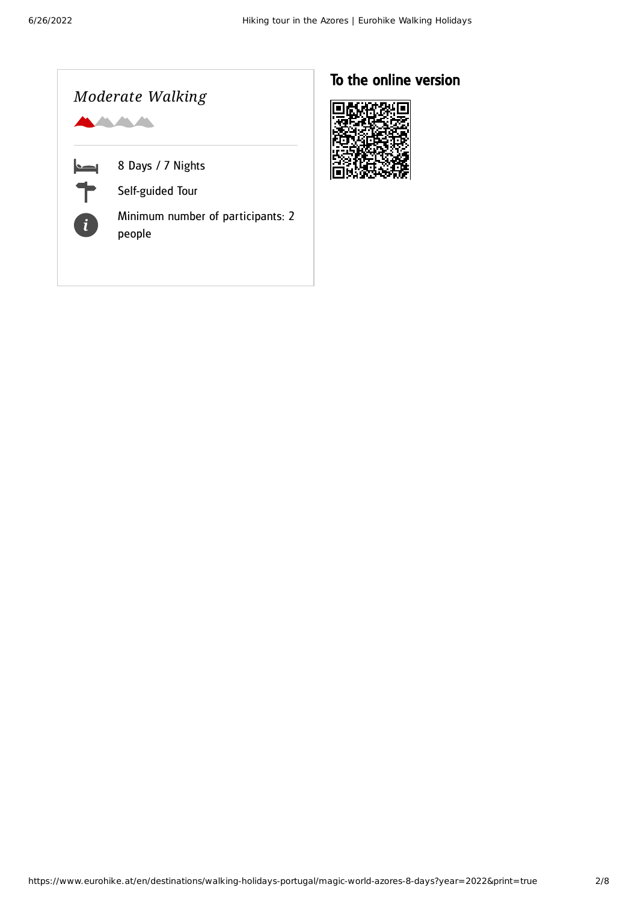

### To the online version

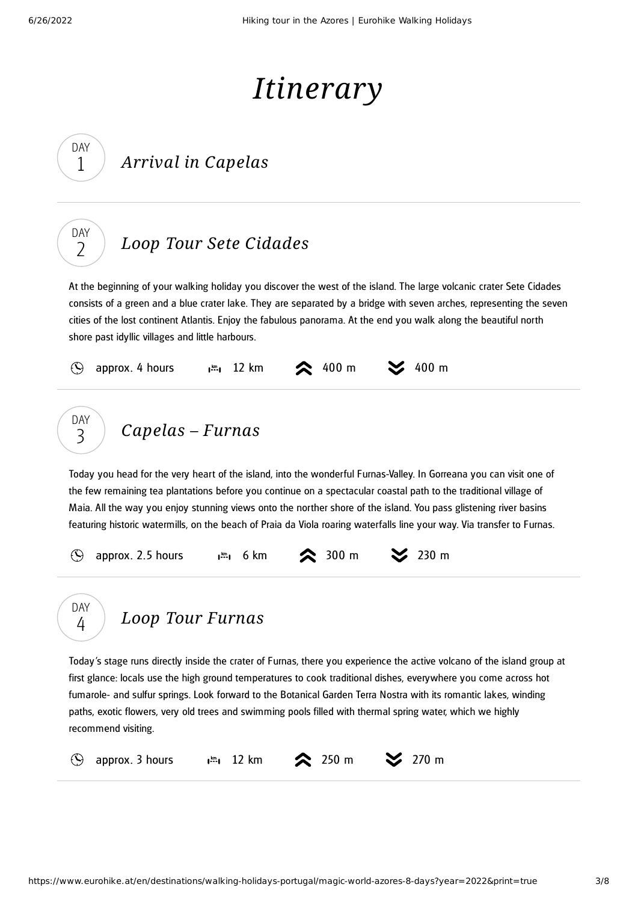DAY 1

DAY  $\overline{\phantom{0}}$ 

# *Itinerary*

## *Arrival in Capelas*

## *Loop Tour Sete [Cidades](#page-2-0)*

<span id="page-2-0"></span>At the beginning of your walking holiday you discover the west of the island. The large volcanic crater Sete Cidades consists of a green and a blue crater lake. They are separated by a bridge with seven arches, representing the seven cities of the lost continent Atlantis. Enjoy the fabulous panorama. At the end you walk along the beautiful north shore past idyllic villages and little harbours.

<span id="page-2-1"></span>

<span id="page-2-2"></span>Today's stage runs directly inside the crater of Furnas, there you experience the active volcano of the island group at first glance: locals use the high ground temperatures to cook traditional dishes, everywhere you come across hot fumarole- and sulfur springs. Look forward to the Botanical Garden Terra Nostra with its romantic lakes, winding paths, exotic flowers, very old trees and swimming pools filled with thermal spring water, which we highly recommend visiting.

 $\mathcal{O}$ 

4

*Loop Tour [Furnas](#page-2-2)*

approx. 3 hours  $\lim_{n \to \infty} 12 \text{ km}$  250 m  $\approx$  270 m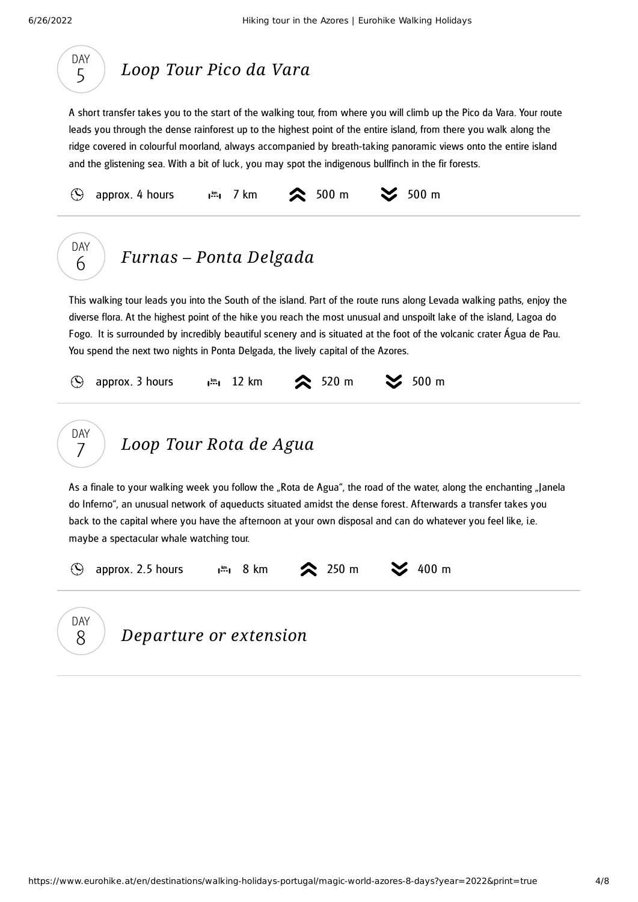<span id="page-3-2"></span><span id="page-3-1"></span><span id="page-3-0"></span>

| DAY<br>Loop Tour Pico da Vara<br>5                                                                                                                                                                                                                                                                                                                                                                                                                                                                                                                                     |
|------------------------------------------------------------------------------------------------------------------------------------------------------------------------------------------------------------------------------------------------------------------------------------------------------------------------------------------------------------------------------------------------------------------------------------------------------------------------------------------------------------------------------------------------------------------------|
| A short transfer takes you to the start of the walking tour, from where you will climb up the Pico da Vara. Your route<br>leads you through the dense rainforest up to the highest point of the entire island, from there you walk along the<br>ridge covered in colourful moorland, always accompanied by breath-taking panoramic views onto the entire island<br>and the glistening sea. With a bit of luck, you may spot the indigenous bullfinch in the fir forests.                                                                                               |
| $\approx$ 500 m<br>$500 \text{ m}$<br>$\odot$<br>approx. 4 hours<br>7 km<br>$l^{km}l$                                                                                                                                                                                                                                                                                                                                                                                                                                                                                  |
| DAY<br>Furnas - Ponta Delgada<br>6                                                                                                                                                                                                                                                                                                                                                                                                                                                                                                                                     |
| This walking tour leads you into the South of the island. Part of the route runs along Levada walking paths, enjoy the<br>diverse flora. At the highest point of the hike you reach the most unusual and unspoilt lake of the island, Lagoa do<br>Fogo. It is surrounded by incredibly beautiful scenery and is situated at the foot of the volcanic crater Água de Pau.<br>You spend the next two nights in Ponta Delgada, the lively capital of the Azores.<br>$500 \text{ m}$<br>$\approx$ 520 m<br>$\odot$<br>approx. 3 hours<br>12 km<br>$\mathbf{I}^{\text{km}}$ |
| DAY<br>Loop Tour Rota de Agua                                                                                                                                                                                                                                                                                                                                                                                                                                                                                                                                          |
| As a finale to your walking week you follow the "Rota de Agua", the road of the water, along the enchanting "Janela<br>do Inferno", an unusual network of aqueducts situated amidst the dense forest. Afterwards a transfer takes you<br>back to the capital where you have the afternoon at your own disposal and can do whatever you feel like, i.e.<br>maybe a spectacular whale watching tour.                                                                                                                                                                     |
| 400 m<br>$\approx$ 250 m<br>approx. 2.5 hours<br><b>u</b> ≝u 8 km<br>$\odot$                                                                                                                                                                                                                                                                                                                                                                                                                                                                                           |
| <b>DAY</b><br>Departure or extension<br>8                                                                                                                                                                                                                                                                                                                                                                                                                                                                                                                              |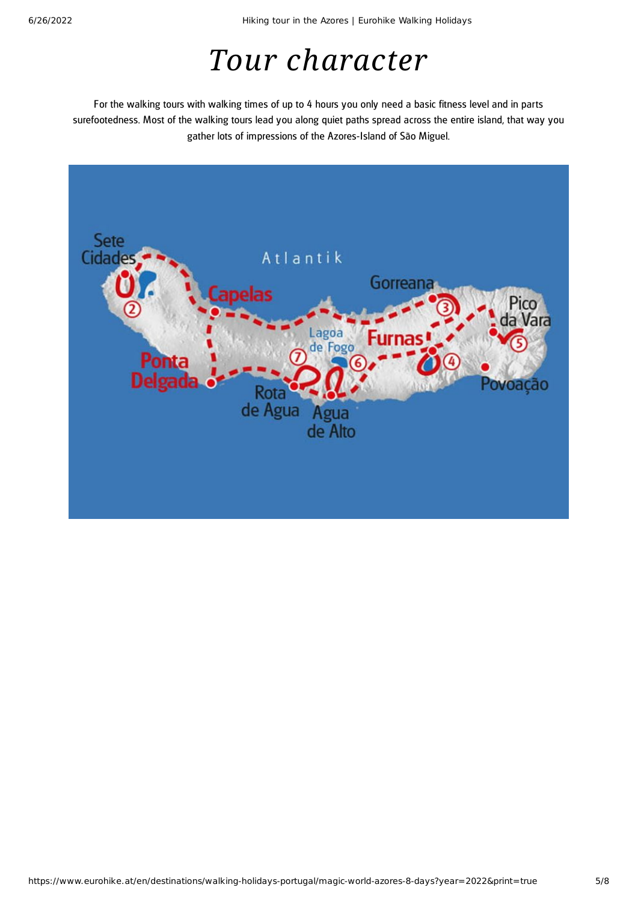# *Tour character*

For the walking tours with walking times of up to 4 hours you only need a basic fitness level and in parts surefootedness. Most of the walking tours lead you along quiet paths spread across the entire island, that way you gather lots of impressions of the Azores-Island of São Miguel.

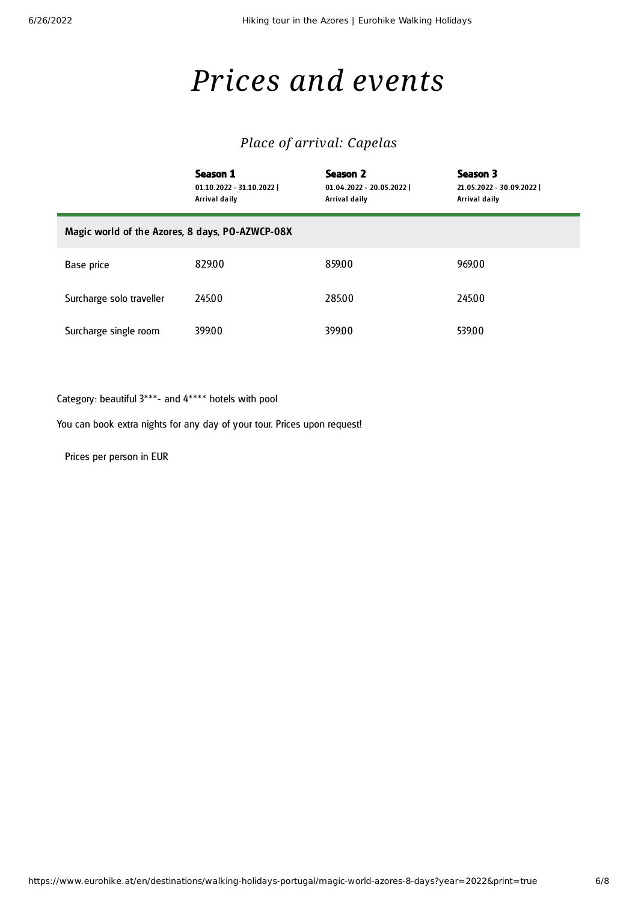# *Prices and events*

### *Place of arrival: Capelas*

|                                                 | Season 1<br>01.10.2022 - 31.10.2022  <br>Arrival daily | Season 2<br>$01.04.2022 - 20.05.2022$<br>Arrival daily | Season 3<br>21.05.2022 - 30.09.2022  <br>Arrival daily |  |
|-------------------------------------------------|--------------------------------------------------------|--------------------------------------------------------|--------------------------------------------------------|--|
| Magic world of the Azores, 8 days, PO-AZWCP-08X |                                                        |                                                        |                                                        |  |
| Base price                                      | 82900                                                  | 859.00                                                 | 969.00                                                 |  |
| Surcharge solo traveller                        | 245.00                                                 | 28500                                                  | 245.00                                                 |  |
| Surcharge single room                           | 39900                                                  | 399.00                                                 | 539.00                                                 |  |

Category: beautiful 3\*\*\*- and 4\*\*\*\* hotels with pool

You can book extra nights for any day of your tour. Prices upon request!

Prices per person in EUR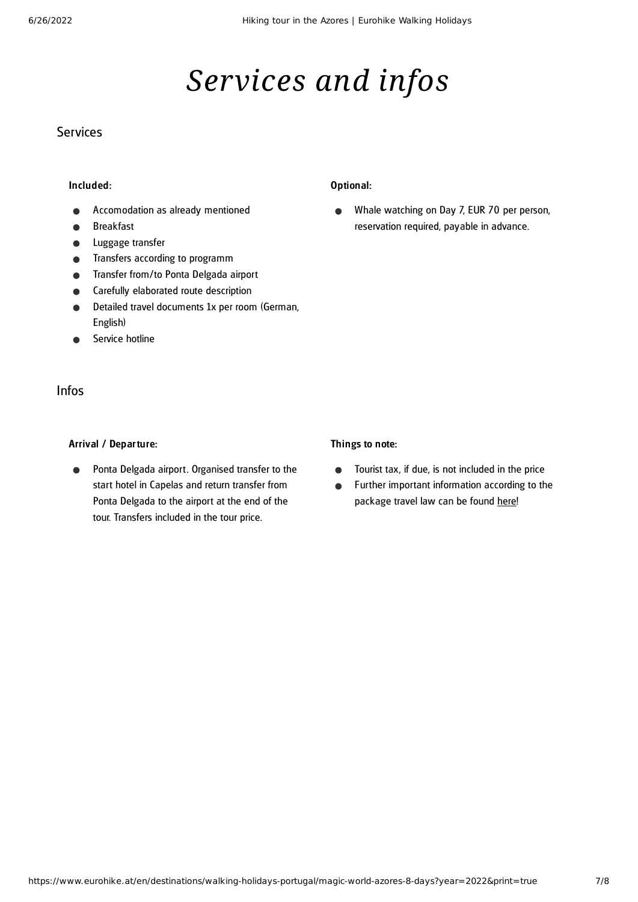# *Services and infos*

### **Services**

#### Included:

- Accomodation as already mentioned
- Breakfast
- Luggage transfer
- Transfers according to programm
- Transfer from/to Ponta Delgada airport
- Carefully elaborated route description
- Detailed travel documents 1x per room (German, English)
- Service hotline

### Infos

#### Arrival / Departure:

Ponta Delgada airport. Organised transfer to the start hotel in Capelas and return transfer from Ponta Delgada to the airport at the end of the tour. Transfers included in the tour price.

#### Optional:

Whale watching on Day 7, EUR 70 per person,  $\bullet$ reservation required, payable in advance.

#### Things to note:

- Tourist tax, if due, is not included in the price  $\bullet$
- Further important information according to the  $\bullet$ package travel law can be found [here](https://www.eurohike.at/en/travel-information/before-the-tour/pci)!